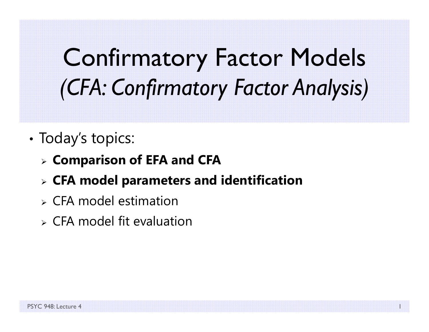# Confirmatory Factor Models *(CFA: Confirmatory Factor Analysis)*

- •• Today's topics:
	- **Comparison of EFA and CFA**
	- **CFA model parameters and identification**
	- $\triangleright$  CFA model estimation
	- $\triangleright$  CFA model fit evaluation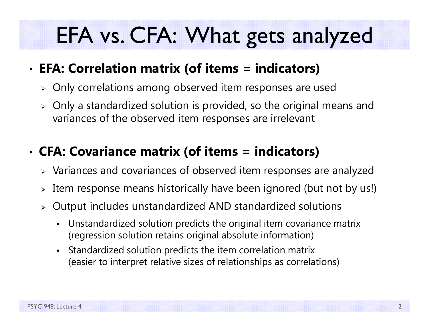### EFA vs. CFA: What gets analyzed

#### •**EFA: Correlation matrix (of items = indicators)**

- $\triangleright$  Only correlations among observed item responses are used
- $\triangleright$  Only a standardized solution is provided, so the original means and variances of the observed item responses are irrelevant

#### •**CFA: Covariance matrix (of items = indicators)**

- $\triangleright$  Variances and covariances of observed item responses are analyzed
- $\triangleright$  Item response means historically have been ignored (but not by us!)
- $\triangleright$  Output includes unstandardized AND standardized solutions
	- Unstandardized solution predicts the original item covariance matrix (regression solution retains original absolute information)
	- Standardized solution predicts the item correlation matrix (easier to interpret relative sizes of relationships as correlations)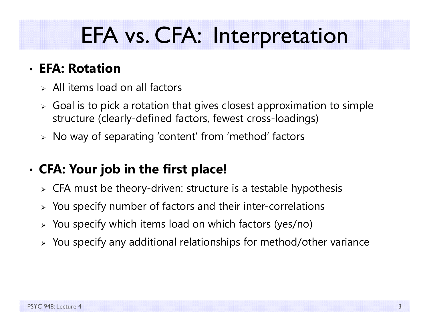## EFA vs. CFA: Interpretation

#### • **EFA: Rotation**

- $>$  All items load on all factors
- $\triangleright$  Goal is to pick a rotation that gives closest approximation to simple  $\triangleright$ structure (clearly-defined factors, fewest cross-loadings)
- $\triangleright\;$  No way of separating 'content' from 'method' factors

#### •**CFA: Your job in the first place!**

- $\triangleright\;$  CFA must be theory-driven: structure is a testable hypothesis
- $\triangleright$  You specify number of factors and their inter-correlations
- $\triangleright$  You specify which items load on which factors (yes/no)
- $\triangleright$  You specify any additional relationships for method/other variance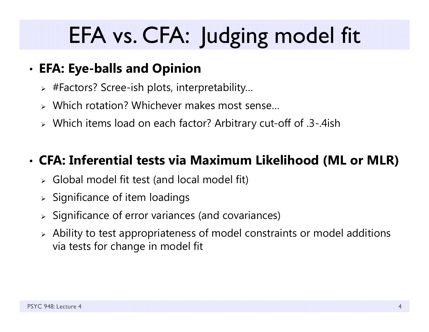# EFA vs. CFA: Judging model fit

#### •**EFA: Eye-balls and Opinion**

- $\triangleright$  #Factors? Scree-ish plots, interpretability...
- Which rotation? Whichever makes most sense…
- Which items load on each factor? Arbitrary cut-off of .3-.4ish

#### •**CFA: Inferential tests via Maximum Likelihood (ML or MLR)**

- Global model fit test (and local model fit)
- $\triangleright$  Significance of item loadings
- $\triangleright$  Significance of error variances (and covariances)
- $\triangleright$  Ability to test appropriateness of model constraints or model additions via tests for change in model fit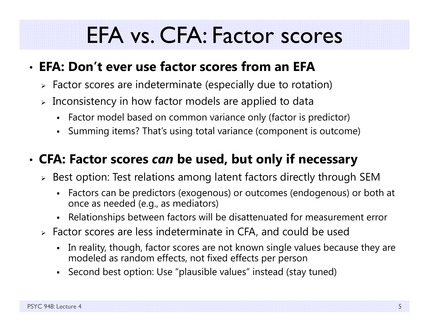### EFA vs. CFA: Factor scores

#### • **EFA: Don't ever use factor scores from an EFA**

- $\triangleright$  Factor scores are indeterminate (especially due to rotation)
- $\triangleright$  Inconsistency in how factor models are applied to data
	- Factor model based on common variance only (factor is predictor)
	- Summing items? That's using total variance (component is outcome)

#### • **CFA: Factor scores** *can* **be used, but only if necessary**

- $\triangleright$  Best option: Test relations among latent factors directly through SEM
	- Factors can be predictors (exogenous) or outcomes (endogenous) or both at once as needed (e.g., as mediators)
	- Relationships between factors will be disattenuated for measurement error
- Factor scores are less indeterminate in CFA, and could be used
	- $\blacksquare$  In reality, though, factor scores are not known single values because they are modeled as random effects, not fixed effects per person
	- Second best option: Use "plausible values" instead (stay tuned)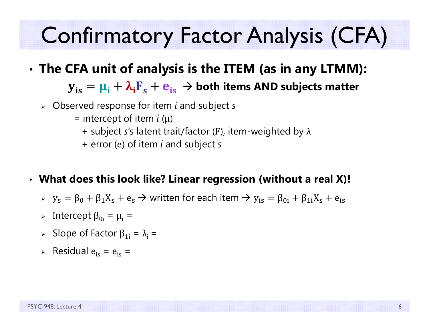# Confirmatory Factor Analysis (CFA)

•**The CFA unit of analysis is the ITEM (as in any LTMM):**

 ${\bf y}_{\rm is} = {\bf \mu}_{\rm i} + {\bf \lambda}_{\rm i} {\bf F}_{\rm s} + {\bf e}_{\rm is} \, \to$  both items AND subjects matter

- Observed response for item *i* and subject *s*
	- = intercept of item *i* (μ)
		- + subject *<sup>s</sup>*'s latent trait/factor ( <sup>F</sup>), item-weighted by λ
		- + error ( <sup>e</sup>) of item *i* and subject *s*
- **What does this look like? Linear regression (without a real X)!**
	- $\rightarrow$   $y_s = \beta_0 + \beta_1 X_s + e_s \rightarrow$  written for each item  $\rightarrow$   $y_{is} = \beta_{0i} + \beta_{1i} X_s + e_{is}$
	- > Intercept β<sub>0i</sub> =  $\mu$ <sub>i</sub> =
	- ► Slope of Factor  $β_{1i} = λ_i =$
	- $\triangleright$  Residual  $e_{is} = e_{is} =$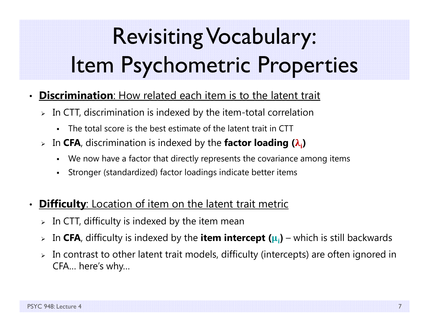# Revisiting Vocabulary: Item Psychometric Properties

- $\bullet$  **Discrimination**: How related each item is to the latent trait
	- $\triangleright\;$  In CTT, discrimination is indexed by the item-total correlation
		- n The total score is the best estimate of the latent trait in CTT
	- **Example 1** Septem *F* and indexed by the **factor loading (λ<sub>i</sub>)** 
		- n We now have a factor that directly represents the covariance among items
		- n Stronger (standardized) factor loadings indicate better items
- •**Difficulty:** Location of item on the latent trait metric
	- $\triangleright\;$  In CTT, difficulty is indexed by the item mean
	- $\blacktriangleright$ In **CFA**, difficulty is indexed by the **item intercept (** ૄܑ**)** – which is still backwards
	- $\blacktriangleright$  In contrast to other latent trait models, difficulty (intercepts) are often ignored in CFA… here's why…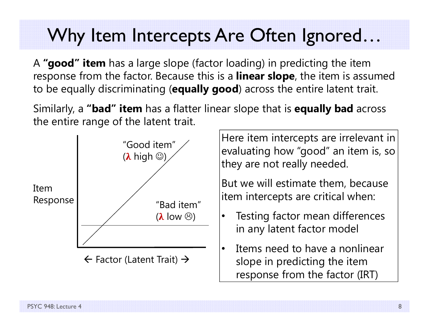#### Why Item Intercepts Are Often Ignored...

A **"good" item** has a large slope (factor loading) in predicting the item response from the factor. Because this is a **linear slope**, the item is assumed to be equally discriminating (**equally good**) across the entire latent trait.

Similarly, a **"bad" item** has a flatter linear slope that is **equally bad** across the entire range of the latent trait.



Here item intercepts are irrelevant in evaluating how "good" an item is, so they are not really needed.

But we will estimate them, because item intercepts are critical when:

- • Testing factor mean differences in any latent factor model
- • Items need to have a nonlinear slope in predicting the item response from the factor (IRT)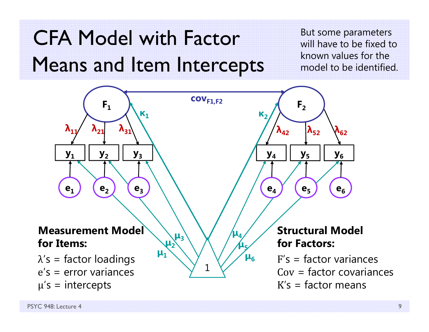#### CFA Model with Factor Means and Item Intercepts

But some parameters will have to be fixed to known values for the model to be identified.

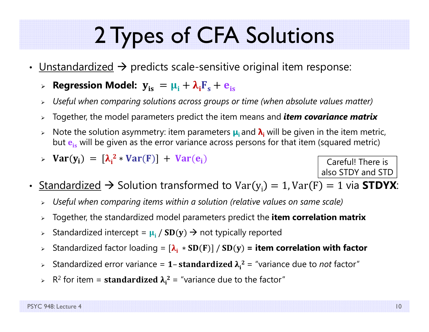# 2 Types of CFA Solutions

- $\bullet$ • <u>Unstandardized</u>  $\rightarrow$  predicts scale-sensitive original item response:
	- $>$  Regression Model:  $\mathbf{y_{is}} = \mathbf{\mu_i} + \mathbf{\lambda_i}\mathbf{F_s} + \mathbf{e_{is}}$
	- $\blacktriangleright$ *Useful when comparing solutions across groups or time (when absolute values matter)*
	- $\blacktriangleright$ Together, the model parameters predict the item means and *item covariance matrix*
	- $\blacktriangleright$  Note the solution asymmetry: item parameters **μi** and **λi** will be given in the item metric, but  $\mathbf{e_{is}}$  will be given as the error variance across persons for that item (squared metric)
	- $\triangleright$  Var(y<sub>i</sub>) =  $[\lambda_i^2 * Var(F)] + Var(e_i)$

Careful! There is also STDY and STD

- $\bullet$  $\boldsymbol{\cdot}$  <u>Standardized</u>  $\boldsymbol{\rightarrow}$  Solution transformed to Var $(\mathrm{y_i})=1$ , Var $(\mathrm{F})=1$  via <code>STDYX</code>:
	- *Useful when comparing items within a solution (relative values on same scale)*
	- $\blacktriangleright$ Together, the standardized model parameters predict the **item correlation matrix**
	- $\blacktriangleright$ > Standardized intercept =  $\mu_{\text{i}}$  /  $\text{SD(y)} \rightarrow$  not typically reported
	- $\blacktriangleright$ Standardized factor loading =  $[\lambda_i * SD(F)] / SD(y)$  = item correlation with factor
	- $\blacktriangleright$  $\triangleright$  Standardized error variance = 1-standardized  $\lambda_i^2$  = "variance due to *not* factor"
	- ► R<sup>2</sup> for item = **standardized λ**<sub>i</sub><sup>2</sup> = "variance due to the factor"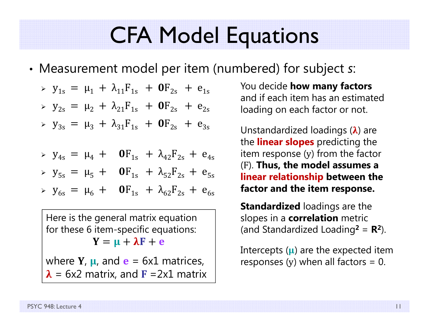### CFA Model Equations

•Measurement model per item (numbered) for subject *s*:

$$
\triangleright \ y_{1s} = \mu_1 + \lambda_{11} F_{1s} + \mathbf{0} F_{2s} + e_{1s}
$$

$$
y_{2s} = \mu_2 + \lambda_{21} F_{1s} + \mathbf{0} F_{2s} + e_{2s}
$$

$$
\triangleright \ y_{3s} = \mu_3 + \lambda_{31} F_{1s} + \mathbf{0} F_{2s} + e_{3s}
$$

$$
\triangleright \ \ y_{4s} = \mu_4 + \mathbf{0} F_{1s} + \lambda_{42} F_{2s} + e_{4s}
$$

$$
y_{5s} = \mu_5 + \mathbf{0}F_{1s} + \lambda_{52}F_{2s} + e_{5s}
$$

$$
\triangleright \ y_{6s} = \mu_6 + \mathbf{0} F_{1s} + \lambda_{62} F_{2s} + e_{6s}
$$

Here is the general matrix equation for these 6 item-specific equations:  $Y = \mu + \lambda F + e$ 

where  $Y$ ,  $\mu$ , and  $\mathbf{e}$  = 6x1 matrices,  $\boldsymbol{\lambda}$  = 6x2 matrix, and **F** =2x1 matrix

You decide **how many factors**  and if each item has an estimated loading on each factor or not.

Unstandardized loadings ( $\pmb{\lambda}$ ) are the **linear slopes** predicting the item response ( y) from the factor (F). **Thus, the model assumes a linear relationship between the factor and the item response.**

**Standardized** loadings are the slopes in a **correlation** metric (and Standardized Loading **2** = **R 2**).

Intercepts ( $\mu$ ) are the expected item responses ( y) when all factors = 0.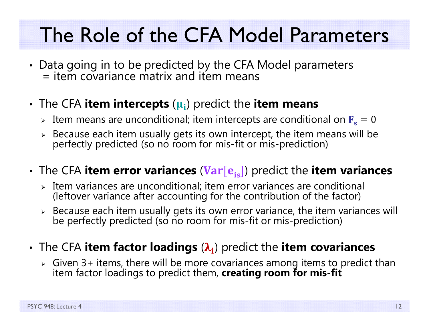#### The Role of the CFA Model Parameters

- Data going in to be predicted by the CFA Model parameters<br>= item covariance matrix and item means
- The CFA **item intercepts**  ( ૄܑ) predict the **item means**
	- $\triangleright$  Item means are unconditional; item intercepts are conditional on  $\mathbf{F_s} = \mathbf{0}$
	- Because each item usually gets its own intercept, the item means will be perfectly predicted (so no room for mis-fit or mis-prediction)
- $\boldsymbol{\cdot}$  The CFA **item error variances (Var[e<sub>is</sub>])** predict the **item variances** 
	- $\triangleright$  Item variances are unconditional; item error variances are conditional (leftover variance after accounting for the contribution of the factor)
	- $\triangleright$  Because each item usually gets its own error variance, the item variances will<br>be perfectly predicted (so no room for mis-fit or mis-prediction)
- •**• The CFA item factor loadings (** $\lambda_i$ **) predict the item covariances** 
	- Given 3+ items, there will be more covariances among items to predict than item factor loadings to predict them, **creating room for mis-fit**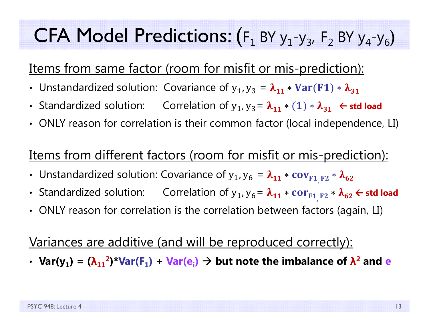#### CFA Model Predictions: (  $F_1$  BY  $y_1-y_3$ ,  $F_2$  BY  $y_4-y_6$ )

#### Items from same factor (room for misfit or mis-prediction):

- Unstandardized solution: Covariance of  $y_1, y_3 = \lambda_{11} * Var(F1) * \lambda_{31}$
- Standardized solution: Correlation of  $y_1$ ,  $y_3 = \lambda_{11} * (1) * \lambda_{31}$   $\leftarrow$  std load
- ONLY reason for correlation is their common factor (local independence, LI)

#### Items from different factors (room for misfit or mis-prediction):

- Unstandardized solution: Covariance of  $\bm{{\mathsf{y}}}_\textbf{1}$ ,  $\bm{{\mathsf{y}}}_\textbf{6}$  $= \lambda_{11} * cov_{F1, F2} * \lambda_{62}$
- Standardized solution: Correlation of  $\mathsf{y}_\mathtt{1}$ ,  $\mathsf{y}_\mathtt{6}$  $= \lambda_{11} * \text{cor}_{\text{F1}|\text{F2}} * \lambda_{62}$   $\in$  std load
- ONLY reason for correlation is the correlation between factors (again, LI)

#### Variances are additive (and will be reproduced correctly):

 $\cdot$  Var(y<sub>1</sub>) = ( $\lambda_{11}^2$ )\*Var(F<sub>1</sub>) + Var(e<sub>i</sub>)  $\rightarrow$  but note the imbalance of  $\lambda^2$  and e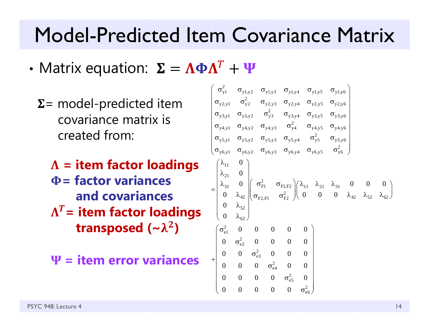#### Model-Predicted Item Covariance Matrix

- •• Matrix equation:  $\boldsymbol{\Sigma} = \boldsymbol{\Lambda} \boldsymbol{\Phi} \boldsymbol{\Lambda}^T$ 
	- $\Sigma$  = model-predicted item covariance matrix iscreated from:
		- **= item factor loadings = factor variancesand covariances** $\boldsymbol{\Lambda}$  $T$  = item factor loadings **transposed (~** ૃ  $\bf{2}$ **)**
		- શ **= item error variances**

$$
\begin{pmatrix}\n\sigma_{y1}^{2} & \sigma_{y1,y2} & \sigma_{y1,y3} & \sigma_{y1,y4} & \sigma_{y1,y5} & \sigma_{y1,y6} \\
\sigma_{y2,y1} & \sigma_{y2}^{2} & \sigma_{y2,y3} & \sigma_{y2,y4} & \sigma_{y2,y5} & \sigma_{y2,y6} \\
\sigma_{y3,y1} & \sigma_{y3,y2} & \sigma_{y3}^{2} & \sigma_{y3,y4} & \sigma_{y3,y5} & \sigma_{y3,y6} \\
\sigma_{y4,y1} & \sigma_{y4,y2} & \sigma_{y4,y3} & \sigma_{y4}^{2} & \sigma_{y4,y5} & \sigma_{y4,y6} \\
\sigma_{y5,y1} & \sigma_{y5,y2} & \sigma_{y5,y3} & \sigma_{y5,y4} & \sigma_{y5}^{2} & \sigma_{y5,y6} \\
\sigma_{y6,y1} & \sigma_{y6,y2} & \sigma_{y6,y3} & \sigma_{y6,y4} & \sigma_{y6,y5} & \sigma_{y6}^{2} \\
\lambda_{21} & 0 & \lambda_{21} & 0 \\
\lambda_{31} & 0 & \lambda_{42} & \sigma_{FI, F2} \\
0 & \lambda_{42} & \sigma_{FI, F2} & \lambda_{41} & \lambda_{41} & \lambda_{41} & \lambda_{41} & \lambda_{41} & \lambda_{41} \\
0 & \lambda_{52} & \sigma_{F2, FI} & \sigma_{F2}^{2}\n\end{pmatrix}\n\begin{pmatrix}\n\lambda_{11} & \lambda_{21} & \lambda_{31} & 0 & 0 & 0 \\
0 & 0 & \lambda_{42} & \lambda_{52} & \lambda_{62} \\
0 & \lambda_{62} & 0 & 0 & 0 & 0 \\
0 & 0 & \sigma_{62}^{2} & 0 & 0 & 0 \\
0 & 0 & \sigma_{64}^{2} & 0 & 0 & 0 \\
0 & 0 & 0 & \sigma_{65}^{2} & 0 & 0 \\
0 & 0 & 0 & 0 & \sigma_{65}^{2}\n\end{pmatrix}
$$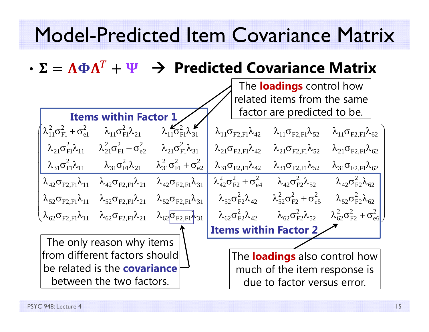#### Model-Predicted Item Covariance Matrix

•  $\bm{T}$ **Predicted Covariance Matrix**

|                                                 |                                                                                                                            |                                                                          | The <b>loadings</b> control how               |                                                                                                                                    |                                                |  |
|-------------------------------------------------|----------------------------------------------------------------------------------------------------------------------------|--------------------------------------------------------------------------|-----------------------------------------------|------------------------------------------------------------------------------------------------------------------------------------|------------------------------------------------|--|
|                                                 |                                                                                                                            |                                                                          | related items from the same                   |                                                                                                                                    |                                                |  |
|                                                 | <b>Items within Factor 1</b>                                                                                               |                                                                          | factor are predicted to be.                   |                                                                                                                                    |                                                |  |
|                                                 | $\lambda_{11}^2 \sigma_{\text{F1}}^2 + \sigma_{\text{e1}}^2$ $\lambda_{11} \sigma_{\text{F1}}^2 \lambda_{21}$              | $\lambda_{11}^{\prime} \sigma_{\text{F1}}^2 \lambda_{31}^{\prime\prime}$ | $\lambda_{11}\sigma_{F2,F1}\lambda_{42}$      | $\lambda_{11}\sigma_{\rm F2,F1}\lambda_{52}$                                                                                       | $\lambda_{11}\sigma_{F2,F1}\lambda_{62}$       |  |
|                                                 | $\lambda_{21} \sigma_{\text{F1}}^2 \lambda_{11} \qquad \lambda_{21}^2 \sigma_{\text{F1}}^2 + \sigma_{\text{e2}}^2$         | $\lambda_{21}$ $\sigma_{\rm Fl}^2 \lambda_{31}$                          | $\lambda_{21}\sigma_{\rm F2.F1}\lambda_{42}$  | $\lambda_{21}\sigma_{F2,F1}\lambda_{52}$ $\lambda_{21}\sigma_{F2,F1}\lambda_{62}$                                                  |                                                |  |
| $\lambda_{31}$ $\sigma_{\rm Fl}^2 \lambda_{11}$ | $\lambda_{31} \sigma_{\rm Fl}^2 \lambda_{21} \qquad \lambda_{31}^2 \sigma_{\rm Fl}^2 + \sigma_{\rm e2}^2$                  |                                                                          |                                               | $\lambda_{31}\sigma_{F2,F1}\lambda_{42}$ $\lambda_{31}\sigma_{F2,F1}\lambda_{52}$ $\lambda_{31}\sigma_{F2,F1}\lambda_{62}$         |                                                |  |
|                                                 | $\lambda_{42}\sigma_{F2,F1}\lambda_{11}$ $\lambda_{42}\sigma_{F2,F1}\lambda_{21}$ $\lambda_{42}\sigma_{F2,F1}\lambda_{31}$ |                                                                          |                                               | $\lambda_{42}^2 \sigma_{F2}^2 + \sigma_{e4}^2$ $\lambda_{42} \sigma_{F2}^2 \lambda_{52}$ $\lambda_{42} \sigma_{F2}^2 \lambda_{62}$ |                                                |  |
| $\lambda_{52}\sigma_{\rm F2.F1}\lambda_{11}$    | $\lambda_{52}\sigma_{\rm F2.F1}\lambda_{21}$                                                                               | $\lambda_{52}\sigma_{\rm F2.F1}\lambda_{31}$                             |                                               | $\lambda_{52}\sigma_{F2}^2\lambda_{42}$ $\lambda_{52}^2\sigma_{F2}^2 + \sigma_{e5}^2$ $\lambda_{52}\sigma_{F2}^2\lambda_{62}$      |                                                |  |
|                                                 | $\lambda_{62}\sigma_{\rm F2,F1}\lambda_{11}$ $\lambda_{62}\sigma_{\rm F2,F1}\lambda_{21}$                                  | $\lambda_{62}$ $\sigma_{\rm F2,F1} \lambda_{31}$                         | $\lambda_{62} \sigma_{\rm F2}^2 \lambda_{42}$ | $\lambda_{62}^{}\sigma_{\text{F2}}^2\lambda_{52}^{}$                                                                               | $\lambda_{62}^2 \sigma_{F2}^2 + \sigma_{e6}^2$ |  |
|                                                 |                                                                                                                            |                                                                          | Items within Factor 2                         |                                                                                                                                    |                                                |  |
|                                                 | The only reason why items                                                                                                  |                                                                          |                                               |                                                                                                                                    |                                                |  |
|                                                 | from different factors should                                                                                              |                                                                          | The <b>loadings</b> also control how          |                                                                                                                                    |                                                |  |
|                                                 | be related is the <b>covariance</b>                                                                                        |                                                                          | much of the item response is                  |                                                                                                                                    |                                                |  |
|                                                 | between the two factors.                                                                                                   |                                                                          |                                               | due to factor versus error.                                                                                                        |                                                |  |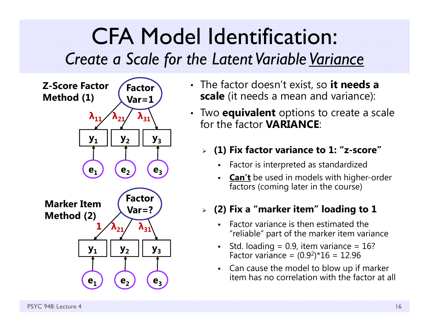#### CFA Model Identification: *Create a Scale for the Latent Variable Variance*



- The factor doesn't exist, so **it needs a scale** (it needs a mean and variance):
- Two **equivalent** options to create a scale for the factor **VARIANCE**:

#### **(1) Fix factor variance to 1: "z-score"**

- Г Factor is interpreted as standardized
- Г **Can't** be used in models with higher-order factors (coming later in the course)

#### **(2) Fix a "marker item" loading to 1**

- Factor variance is then estimated the "reliable" part of the marker item variance
- Г Std. loading =  $0.9$ , item variance =  $16$ ? Factor variance = (0.9 2)\*16 = 12.96
- н Can cause the model to blow up if marker item has no correlation with the factor at all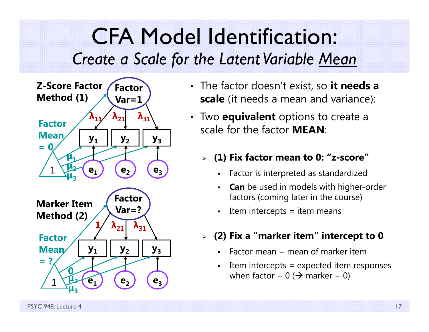#### CFA Model Identification: *Create a Scale for the Latent Variable Mean*



- The factor doesn't exist, so **it needs a scale** (it needs a mean and variance):
- Two **equivalent** options to create <sup>a</sup> scale for the factor **MEAN**:
	- **(1) Fix factor mean to 0: "z-score"**
		- Г Factor is interpreted as standardized
		- Г **Can** be used in models with higher-order factors (coming later in the course)
		- Г Item intercepts = item means
	- **(2) Fix a "marker item" intercept to 0**
		- Г Factor mean  $=$  mean of marker item
		- Г Item intercepts = expected item responses when factor = 0 ( $\bm{\rightarrow}$  marker = 0)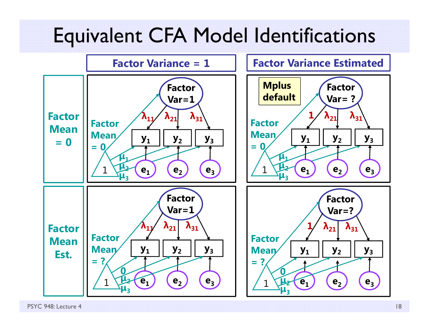#### Equivalent CFA Model Identifications



PSYC 948: Lecture 418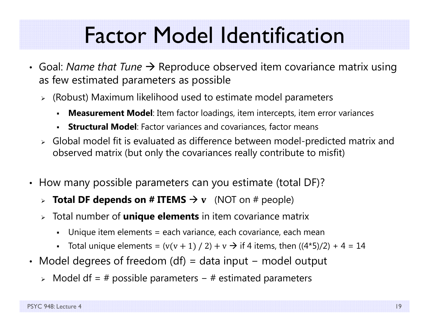### Factor Model Identification

- Goal: *Name that Tune →* Reproduce observed item covariance matrix using as few estimated parameters as possible
	- $\triangleright$  (Robust) Maximum likelihood used to estimate model parameters
		- n **Measurement Model**: Item factor loadings, item intercepts, item error variances
		- n **Structural Model**: Factor variances and covariances, factor means
	- Global model fit is evaluated as difference between model-predicted matrix and observed matrix (but only the covariances really contribute to misfit)
- How many possible parameters can you estimate (total DF)?
	- $\triangleright$  Total DF depends on # ITEMS  $\rightarrow$  v (NOT on # people)
	- Total number of **unique elements** in item covariance matrix
		- n Unique item elements = each variance, each covariance, each mean
		- Total unique elements =  $(v(v + 1) / 2) + v \rightarrow$  if 4 items, then  $((4*5)/2) + 4 = 14$
- Model degrees of freedom (df) = data input model output
	- > Model df = # possible parameters # estimated parameters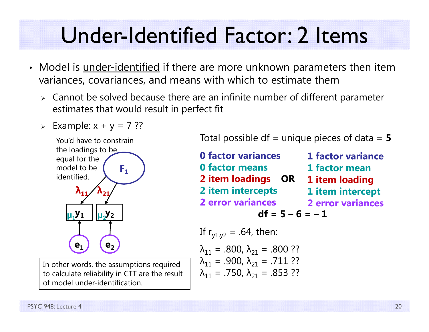### Under-Identified Factor: 2 Items

- Model is <u>under-identified</u> if there are more unknown parameters then item variances, covariances, and means with which to estimate them
	- Cannot be solved because there are an infinite number of different parameter estimates that would result in perfect fit
	- $\triangleright$  Example: x + y = 7 ??



In other words, the assumptions required to calculate reliability in CTT are the result of model under-identification.

Total possible df = unique pieces of data = **5**

**0 factor variances0 factor means2 item loadings OR 2 item intercepts 2 error variances**  $df = 5 - 6 = -1$ If  $r_{y1y2} = .64$ , then: **1 factor variance1 factor mean1 item loading 1 item intercept 2 error variances**

$$
\lambda_{11} = .800, \lambda_{21} = .800 ??
$$
  
\n
$$
\lambda_{11} = .900, \lambda_{21} = .711 ??
$$
  
\n
$$
\lambda_{11} = .750, \lambda_{21} = .853 ??
$$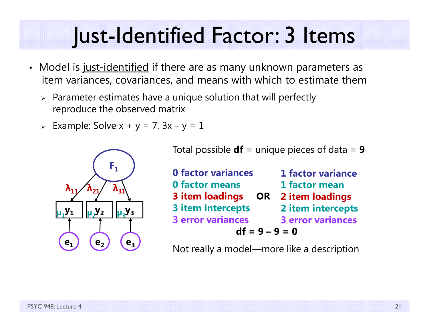### Just-Identified Factor: 3 Items

- Model is j<u>ust-identified</u> if there are as many unknown parameters as item variances, covariances, and means with which to estimate them
	- $\triangleright$  Parameter estimates have a unique solution that will perfectly reproduce the observed matrix
	- $>$  Example: Solve x + y = 7, 3x  $-$  y = 1



Total possible **df** = unique pieces of data = **9**

| <b>0 factor variances</b> | <b>1 factor variance</b> |  |  |
|---------------------------|--------------------------|--|--|
| <b>0 factor means</b>     | 1 factor mean            |  |  |
| 3 item loadings OR        | 2 item loadings          |  |  |
| <b>3 item intercepts</b>  | 2 item intercepts        |  |  |
| <b>3 error variances</b>  | <b>3 error variances</b> |  |  |
| $df = 9 - 9 = 0$          |                          |  |  |

Not really a model—more like a description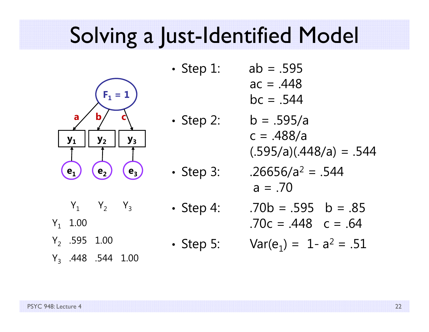### Solving a Just-Identified Model

•

•



 Step 1: ab = .595  $ac = .448$ 

$$
bc = .544
$$

\n- Step 2: 
$$
b = .595/a
$$
\n- $c = .488/a$
\n- $(.595/a)(.448/a) = .544$
\n

• Step 3: 
$$
.26656/a^2 = .544
$$
  
a = .70

Step 4: 
$$
\therefore
$$

 $\rm Y_1$  1.00

 $Y_1$   $Y_2$   $Y_3$ 

- Y<sub>2</sub> .595 1.00
- Y<sub>3</sub> .448 .544 1.00

•

• Step 5: Var(e

• Step 4: 
$$
.70b = .595 \quad b = .85
$$
  
.70c = .448 \quad c = .64

$$
Var(e_1) = 1 - a^2 = .51
$$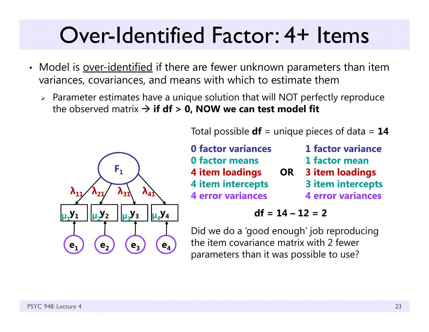### Over-Identified Factor: 4+ Items

- Model is <u>over-identified</u> if there are fewer unknown parameters than item variances, covariances, and means with which to estimate them
	- Parameter estimates have a unique solution that will NOT perfectly reproduce the observed matrix **if df > 0, NOW we can test model fit**



Total possible **df** = unique pieces of data = **14**

|           | <b>1 factor variance</b> |
|-----------|--------------------------|
|           | 1 factor mean            |
| <b>OR</b> | <b>3 item loadings</b>   |
|           | <b>3 item intercepts</b> |
|           | <b>4 error variances</b> |
|           |                          |

$$
df = 14 - 12 = 2
$$

Did we do a 'good enough' job reproducing the item covariance matrix with 2 fewer parameters than it was possible to use?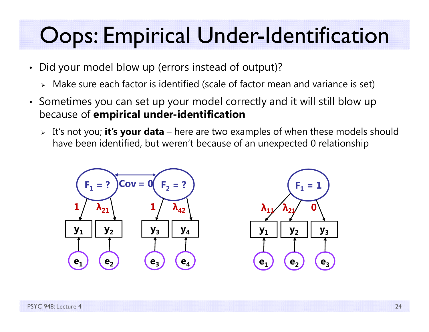### Oops: Empirical Under-Identification

- Did your model blow up (errors instead of output)?
	- Make sure each factor is identified (scale of factor mean and variance is set)
- Sometimes you can set up your model correctly and it will still blow up because of **empirical under-identification**
	- It's not you; **it's your data** here are two examples of when these models should have been identified, but weren't because of an unexpected 0 relationship

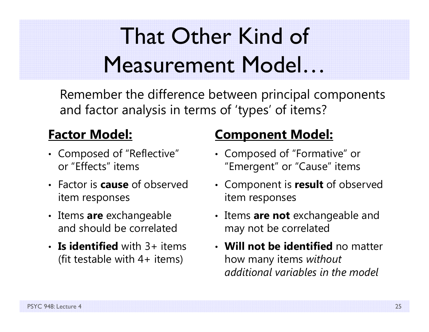# That Other Kind of Measurement Model…

Remember the difference between principal components and factor analysis in terms of 'types' of items?

#### **Factor Model:**

- Composed of "Reflective" or "Effects" items
- Factor is **cause** of observed item responses
- Items **are** exchangeable and should be correlated
- **Is identified** with 3+ items (fit testable with  $4+$  items)

#### **Component Model:**

- Composed of "Formative" or "Emergent" or "Cause" items
- Component is **result** of observed item responses
- Items **are not** exchangeable and may not be correlated
- **Will not be identified** no matter how many items *without additional variables in the model*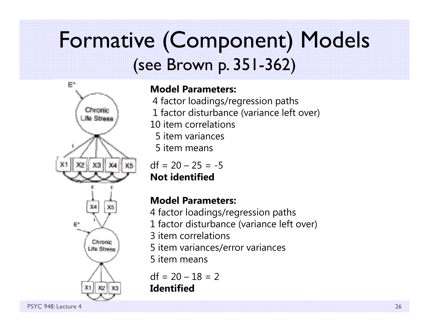#### Formative (Component) Models (see Brown p. 351-362)



#### **Model Parameters:**

4 factor loadings/regression paths 1 factor disturbance (variance left over) 10 item correlations5 item variances5 item means

 $df = 20 - 25 = -5$ 

**Not identified**

#### **Model Parameters:**

- 4 factor loadings/regression paths
- 1 factor disturbance (variance left over)
- 3 item correlations
- 5 item variances/error variances
- 5 item means

 $df = 20 - 18 = 2$ **Identified**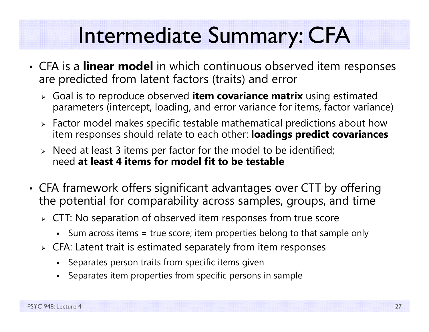## Intermediate Summary: CFA

- CFA is a **linear model** in which continuous observed item responses are predicted from latent factors (traits) and error
	- Goal is to reproduce observed **item covariance matrix** using estimated parameters (intercept, loading, and error variance for items, factor variance)
	- $\triangleright$  Factor model makes specific testable mathematical predictions about how item responses should relate to each other: **loadings predict covariances**
	- $\triangleright$  Need at least 3 items per factor for the model to be identified; need **at least 4 items for model fit to be testable**
- • CFA framework offers significant advantages over CTT by offering the potential for comparability across samples, groups, and time
	- $\triangleright\;$  CTT: No separation of observed item responses from true score
		- Sum across items = true score; item properties belong to that sample only
	- $\triangleright\;$  CFA: Latent trait is estimated separately from item responses
		- Separates person traits from specific items given
		- n Separates item properties from specific persons in sample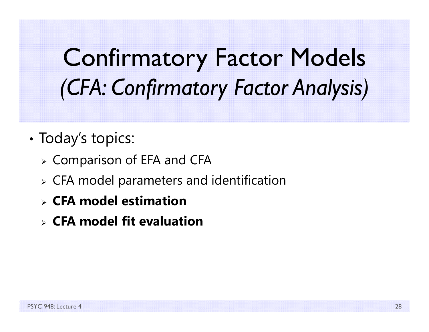# Confirmatory Factor Models *(CFA: Confirmatory Factor Analysis)*

- •• Today's topics:
	- $\triangleright$  Comparison of EFA and CFA
	- $\triangleright$  CFA model parameters and identification
	- **CFA model estimation**
	- **CFA model fit evaluation**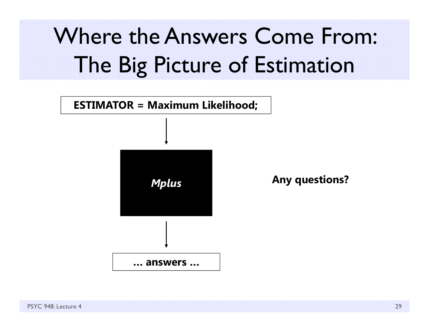# Where the Answers Come From: The Big Picture of Estimation

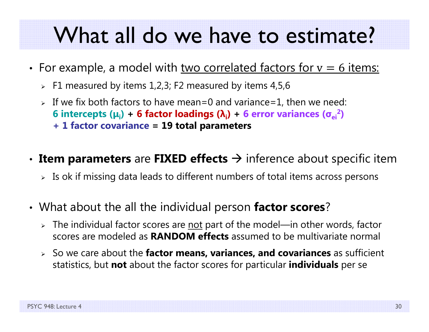#### What all do we have to estimate?

- •• For example, a model with two correlated factors for  $v=6$  items:
	- $\triangleright$  F1 measured by items 1,2,3; F2 measured by items 4,5,6  $\triangleright$
	- $\triangleright$  If we fix both factors to have mean=0 and variance=1, then we need: **6 intercepts ( <sup>μ</sup>i) + 6 factor loadings ( λi) + 6 error variances ( <sup>σ</sup>ei2 ) + 1 factor covariance = 19 total parameters**
- •**• Item parameters** are FIXED effects → inference about specific item
	- $\triangleright$  Is ok if missing data leads to different numbers of total items across persons
- • What about the all the individual person **factor scores**?
	- > The individual factor scores are <u>not</u> part of the model—in other words, factor scores are modeled as **RANDOM effects** assumed to be multivariate normal
	- So we care about the **factor means, variances, and covariances** as sufficient statistics, but **not** about the factor scores for particular **individuals** per se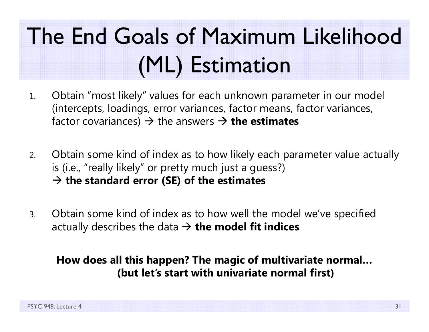# The End Goals of Maximum Likelihood (ML) Estimation

- 1. Obtain "most likely" values for each unknown parameter in our model (intercepts, loadings, error variances, factor means, factor variances, factor covariances) → the answers → **the estimates**
- 2. Obtain some kind of index as to how likely each parameter value actually is (i.e., "really likely" or pretty much just a guess?) **the standard error (SE) of the estimates**
- 3. Obtain some kind of index as to how well the model we've specified actually describes the data **the model fit indices**

#### **How does all this happen? The magic of multivariate normal… (but let's start with univariate normal first)**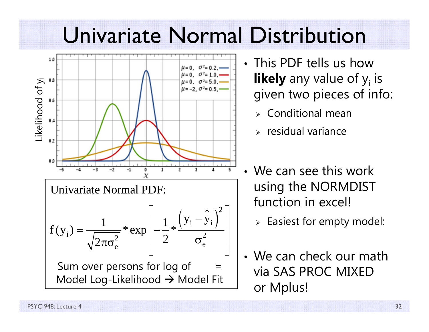#### Univariate Normal Distribution



- This PDF tells us how **likely** any value of y<sub>i</sub> is given two pieces of info:
	- $\triangleright$  Conditional mean
	- $\triangleright$  residual variance
- We can see this work using the NORMDIST function in excel!
	- $\triangleright$  Easiest for empty model:
- We can check our math via SAS PROC MIXED or Mplus!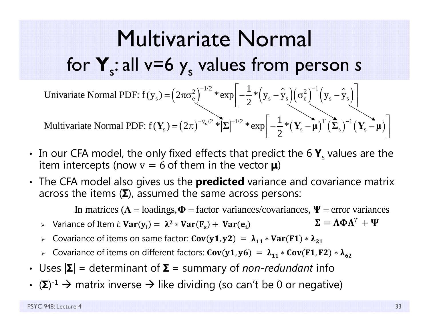#### Multivariate Normal for  $\mathbf{Y}_s$ : all v=6  $\mathbf{y}_s$  values from person *s*

Univariate Normal PDF: 
$$
f(y_s) = (2\pi\sigma_e^2)^{-1/2} * \exp\left[-\frac{1}{2} * (y_s - \hat{y}_s)(\sigma_e^2)^{-1} (y_s - \hat{y}_s)\right]
$$
  
Multivariate Normal PDF:  $f(Y_s) = (2\pi)^{-v_s/2} * |\Sigma|^{-1/2} * \exp\left[-\frac{1}{2} * (Y_s - \mu)^T (\Sigma_s)^{-1} (Y_s - \mu)\right]$ 

- In our CFA model, the only fixed effects that predict the 6  $\mathbf{Y}_{\text{s}}$  values are the item intercepts (now  $\text{v} = 6$  of them in the vector  $\boldsymbol{\mu}$ )
- The CFA model also gives us the **predicted** variance and covariance matrix across the items ( **Σ**), assumed the same across persons:

In matrices ( $\Lambda$  = loadings,  $\Phi$  = factor variances/covariances,  $\Psi$  = error variances

- ► Variance of Item *i*: **Var**( $y$ <sub>i</sub>) =  $λ^2 * Var(F_s) + Var(e_i)$  $\boldsymbol{\Sigma} = \boldsymbol{\Lambda}\boldsymbol{\Phi}\boldsymbol{\Lambda}^T + \boldsymbol{\Psi}$
- > Covariance of items on same factor: Cov(y1,y2) =  $\lambda_{11} * \text{Var}(\texttt{F1}) * \lambda_{21}$
- ► Covariance of items on different factors: Cov(y1, y6) =  $\lambda_{11} *$  Cov(F1, F2) \*  $\lambda_{62}$
- Uses  $|\mathbf{\Sigma}|$  = determinant of  $\mathbf{\Sigma}$  = summary of *non-redundant* info
- (Σ)<sup>-1</sup> → matrix inverse → like dividing (so can't be 0 or negative)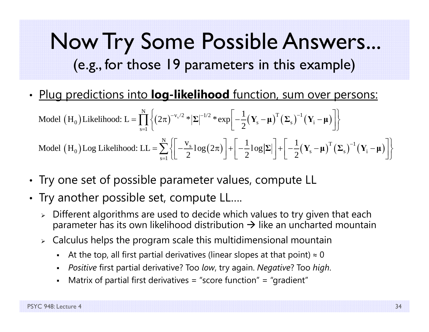#### Now Try Some Possible Answers... (e.g., for those 19 parameters in this example)

•Plug predictions into **log-likelihood** function, sum over persons:

$$
\text{Model (H}_{0}) \text{Likelihood: } L = \prod_{s=1}^{N} \left\{ (2\pi)^{-v_{s}/2} * |\Sigma|^{-1/2} * \exp\left[ -\frac{1}{2} (\mathbf{Y}_{s} - \boldsymbol{\mu})^{T} (\Sigma_{s})^{-1} (\mathbf{Y}_{i} - \boldsymbol{\mu}) \right] \right\}
$$
\n
$$
\text{Model (H}_{0}) \text{Log Likelihood: } LL = \sum_{s=1}^{N} \left\{ \left[ -\frac{v_{s}}{2} \log(2\pi) \right] + \left[ -\frac{1}{2} \log |\Sigma| \right] + \left[ -\frac{1}{2} (\mathbf{Y}_{s} - \boldsymbol{\mu})^{T} (\Sigma_{s})^{-1} (\mathbf{Y}_{i} - \boldsymbol{\mu}) \right] \right\}
$$

- •• Try one set of possible parameter values, compute LL
- Try another possible set, compute LL….
	- $\triangleright$  Different algorithms are used to decide which values to try given that each parameter has its own likelihood distribution  $\boldsymbol{\rightarrow}$  like an uncharted mountain
	- $\triangleright$   $\,$  Calculus helps the program scale this multidimensional mountain
		- n - At the top, all first partial derivatives (linear slopes at that point)  $\approx 0$
		- *Positive* first partial derivative? Too *low*, try again. *Negative*? Too *high*.
		- Matrix of partial first derivatives = "score function" = "gradient"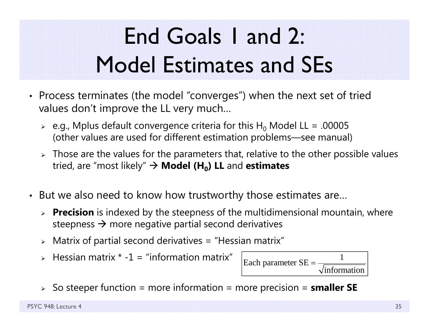# End Goals 1 and 2: Model Estimates and SEs

- Process terminates (the model "converges") when the next set of tried values don't improve the LL very much…
	- $\triangleright$  e.g., Mplus default convergence criteria for this H $_0$  Model LL = .00005 (other values are used for different estimation problems—see manual)
	- $\triangleright$  Those are the values for the parameters that, relative to the other possible values tried, are "most likely" **Model (H 0) LL** and **estimates**
- But we also need to know how trustworthy those estimates are…
	- **Precision** is indexed by the steepness of the multidimensional mountain, where steepness  $\bm{\rightarrow}$  more negative partial second derivatives
	- $\triangleright$  Matrix of partial second derivatives = "Hessian matrix"
	- $\triangleright$  Hessian matrix  $\cdot$  -1 = "information matrix"



So steeper function = more information = more precision = **smaller SE**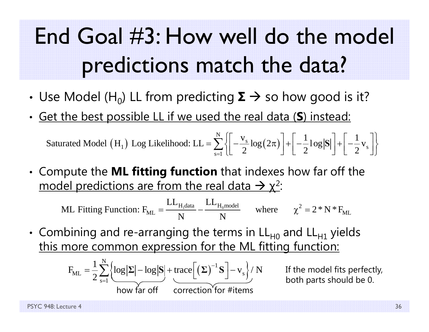# End Goal #3: How well do the model predictions match the data?

- • $\boldsymbol{\cdot}$  Use Model (H<sub>0</sub>) LL from predicting  $\boldsymbol{\Sigma} \to$  so how good is it?
- •Get the best possible LL if we used the real data ( **S**) instead:

 $\text{(H}_1)$  Log Likelihood: LL =  $\sum \left\{ \left| \frac{\sqrt{s}}{2} \log(2\pi) \right| \right\}$ 1) Log Likelihood: LL =  $\sum_{n=1}^{N} \left\{ \left[ -\frac{v_s}{2} \log(2\pi) \right] + \left[ -\frac{1}{2} \log |S| \right] + \left[ -\frac{1}{2} v_s \right] \right\}$  $s = 1$  $v_{\rm c}$  (c)  $\vert$  1,  $\vert$  1 Saturated Model  $(H_1)$  Log Likelihood:  $LL = \sum_{s=1}^{n} \left\{ \left[ -\frac{s}{2} \log(2\pi) \right] + \left[ -\frac{1}{2} \log |S| \right] + \left[ -\frac{1}{2} \log |S| \right] \right\}$  $=\sum_{s=1}^{N}\left\{\left[-\frac{v_s}{2}\log(2\pi)\right]+\left[-\frac{1}{2}\log|S|\right]+\left[-\frac{1}{2}v_s\right]\right\}$ 

• Compute the **ML fitting function** that indexes how far off the model predictions are from the real data  $\rightarrow$  χ<sup>2</sup>:

ML Fitting Function: 
$$
F_{ML} = \frac{LL_{H_1 data}}{N} - \frac{LL_{H_0 model}}{N}
$$
 where  $\chi^2 = 2*N*F_{ML}$ 

• Combining and re-arranging the terms in  $\mathsf{LL}_{\mathsf{H}0}$  and  $\mathsf{LL}_{\mathsf{H}1}$  yields this more common expression for the ML fitting function:

$$
F_{ML} = \frac{1}{2} \sum_{s=1}^{N} \left\{ \frac{\log |\Sigma| - \log |S| + \text{trace} \left[ (\Sigma)^{-1} S \right] - v_s}{\text{how far off}} \right\} / N
$$

If the model fits perfectly, both parts should be 0.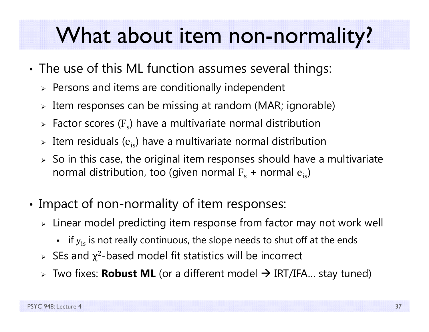### What about item non-normality?

- • The use of this ML function assumes several things:
	- $\triangleright$  Persons and items are conditionally independent
	- $\triangleright$  Item responses can be missing at random (MAR; ignorable)
	- $\triangleright$  Factor scores (F<sub>s</sub>) have a multivariate normal distribution
	- $\triangleright$  Item residuals ( $\mathrm{e_{is}}$ ) have a multivariate normal distribution
	- $\triangleright\;$  So in this case, the original item responses should have a multivariate  $\;$ normal distribution, too (given normal  $\rm F_s$  + normal  $\rm e_{is}$ )
- • Impact of non-normality of item responses:
	- $\triangleright\;$  Linear model predicting item response from factor may not work well
		- $\;$  if  $\rm{y}_{is}$  is not really continuous, the slope needs to shut off at the ends
	- $\triangleright$  SEs and  $\chi^2$ -based model fit statistics will be incorrect
	- Two fixes: **Robust ML** (or a different model IRT/IFA… stay tuned)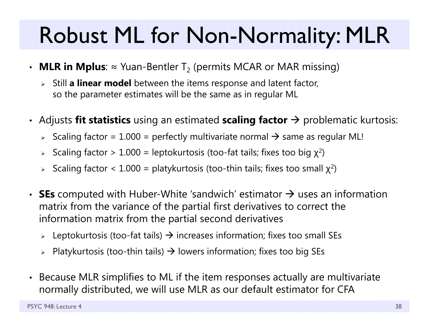## Robust ML for Non-Normality: MLR

- $\bm\cdot\;$  **MLR in Mplus**:  $\approx$  Yuan-Bentler T $_2$  (permits MCAR or MAR missing)
	- Still **a linear model** between the items response and latent factor, so the parameter estimates will be the same as in regular ML
- Adjusts **fit statistics** using an estimated **scaling factor**  $\rightarrow$  problematic kurtosis:
	- $\triangleright$  Scaling factor = 1.000 = perfectly multivariate normal  $\rightarrow$  same as regular ML!
	- $\triangleright$  Scaling factor  $> 1.000 =$  leptokurtosis (too-fat tails; fixes too big  $\chi^2$ )
	- $\triangleright$  Scaling factor < 1.000 = platykurtosis (too-thin tails; fixes too small  $\chi^2$ )
- SEs computed with Huber-White 'sandwich' estimator  $\rightarrow$  uses an information matrix from the variance of the partial first derivatives to correct the information matrix from the partial second derivatives
	- $\triangleright$  Leptokurtosis (too-fat tails)  $\rightarrow$  increases information; fixes too small SEs
	- $\triangleright$  Platykurtosis (too-thin tails)  $\rightarrow$  lowers information; fixes too big SEs
- $\bullet$  Because MLR simplifies to ML if the item responses actually are multivariate normally distributed, we will use MLR as our default estimator for CFA

PSYC 948: Lecture 4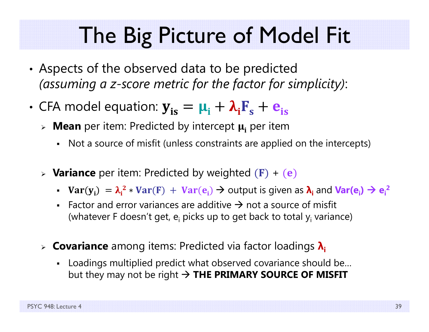### The Big Picture of Model Fit

- • Aspects of the observed data to be predicted *(assuming a z-score metric for the factor for simplicity)*:
- •• CFA model equation:  $y_{is} = \mu_i + \lambda_i F_s + e_{is}$ 
	- » Mean per item: Predicted by intercept  $\boldsymbol{\mu_{i}}$  per item
		- Not a source of misfit (unless constraints are applied on the intercepts)
	- **Variance** per item: Predicted by weighted  $(F) + (e)$ 
		- $Var(y_i) = \lambda_i^2$ \*  $Var(F) + Var(e_i)$  → output is given as  $\lambda_i$  and  $Var(e_i)$  →  $e_i^2$
		- Factor and error variances are additive  $\rightarrow$  not a source of misfit (whatever F doesn't get, e<sub>i</sub> picks up to get back to total y<sub>i</sub> variance)
	- **Covariance** among items: Predicted via factor loadings **λi**
		- Loadings multiplied predict what observed covariance should be… but they may not be right **THE PRIMARY SOURCE OF MISFIT**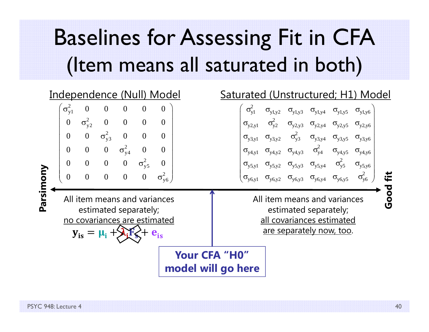## Baselines for Assessing Fit in CFA (Item means all saturated in both)

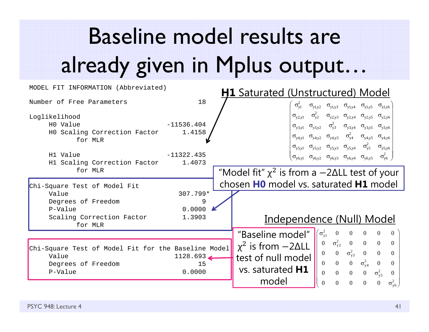# Baseline model results are already given in Mplus output…

| MODEL FIT INFORMATION (Abbreviated)                                                                              | <b>H1</b> Saturated (Unstructured) Model         |                                                                                                                                                                                                                                                                                                                                                                                                                                                                                                                                                                                         |
|------------------------------------------------------------------------------------------------------------------|--------------------------------------------------|-----------------------------------------------------------------------------------------------------------------------------------------------------------------------------------------------------------------------------------------------------------------------------------------------------------------------------------------------------------------------------------------------------------------------------------------------------------------------------------------------------------------------------------------------------------------------------------------|
| Number of Free Parameters                                                                                        | 18                                               | $\sigma_{v1}^2$<br>$\sigma_{y1,y2} \quad \sigma_{y1,y3} \quad \sigma_{y1,y4} \quad \sigma_{y1,y5} \quad \sigma_{y1,y6}$                                                                                                                                                                                                                                                                                                                                                                                                                                                                 |
| Loglikelihood<br>HO Value<br>HO Scaling Correction Factor<br>for MLR<br>H1 Value<br>H1 Scaling Correction Factor | $-11536.404$<br>1.4158<br>$-11322.435$<br>1.4073 | $\sigma_{y2,y1}$ $\sigma_{y2}^2$ $\sigma_{y2,y3}$ $\sigma_{y2,y4}$ $\sigma_{y2,y5}$ $\sigma_{y2,y6}$<br>$\sigma_{y3,y1}$ $\sigma_{y3,y2}$ $\sigma_{y3}^2$ $\sigma_{y3,y4}$ $\sigma_{y3,y5}$ $\sigma_{y3,y6}$<br>$\sigma_{y4,y1}$ $\sigma_{y4,y2}$ $\sigma_{y4,y3}$ $\sigma_{y4}^2$ $\sigma_{y4,y5}$ $\sigma_{y4,y6}$<br>$\sigma_{y5,y1}$ $\sigma_{y5,y2}$ $\sigma_{y5,y3}$ $\sigma_{y5,y4}$ $\sigma_{y5}^2$ $\sigma_{y5,y6}$<br>$\sigma_{y6,y1}$ $\sigma_{y6,y2}$ $\sigma_{y6,y3}$ $\sigma_{y6,y4}$ $\sigma_{y6,y5}$ $\sigma_{y6}^2$                                                    |
| for MLR<br>Chi-Square Test of Model Fit                                                                          |                                                  | "Model fit" $\chi^2$ is from a $-2\Delta L$ test of your<br>chosen HO model vs. saturated H1 model                                                                                                                                                                                                                                                                                                                                                                                                                                                                                      |
| Value<br>Degrees of Freedom<br>P-Value                                                                           | 307.799*<br>9<br>0.0000                          |                                                                                                                                                                                                                                                                                                                                                                                                                                                                                                                                                                                         |
| Scaling Correction Factor<br>for MLR                                                                             | 1.3903                                           | Independence (Null) Model<br>$\sqrt{\sigma_{y1}^2}$<br>$\boldsymbol{0}$<br>$\overline{0}$<br>$\overline{0}$<br>"Baseline model"<br>$\overline{0}$<br>$\overline{0}$                                                                                                                                                                                                                                                                                                                                                                                                                     |
| Chi-Square Test of Model Fit for the Baseline Model<br>Value<br>Degrees of Freedom<br>P-Value                    | 1128.693<br>15<br>0.0000                         | $\sigma_{y2}^2$ 0 0 0<br>$\overline{0}$<br>$\overline{0}$<br>$\chi^2$ is from $-2\Delta L$<br>$\sigma_{\rm v3}^2$<br>$\overline{0}$<br>$\overline{0}$<br>$\overline{0}$<br>$\overline{0}$<br>$\overline{0}$<br>test of null model<br>$\mathbf{0}$<br>$\sigma_{\text{y}4}^2$<br>$\overline{0}$<br>$\mathbf{0}$<br>$\boldsymbol{0}$<br>$\overline{0}$<br>vs. saturated <b>H1</b><br>$0\qquad 0$<br>$\Omega$<br>$\sigma_{\text{y5}}^2$<br>$\overline{0}$<br>$\Omega$<br>model<br>$\overline{0}$<br>$\mathbf{0}$<br>$\mathbf{0}$<br>$\sigma_{\rm v6}^2$<br>$\overline{0}$<br>$\overline{0}$ |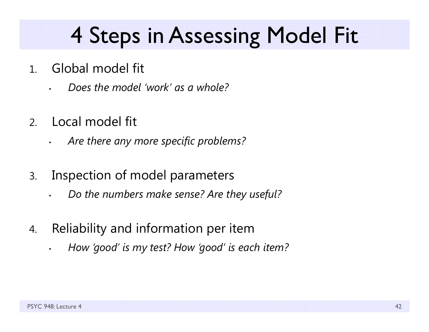### 4 Steps in Assessing Model Fit

- 1. Global model fit
	- *Does the model 'work' as a whole?*
- 2.Local model fit

•

- •*Are there any more specific problems?*
- 3. Inspection of model parameters
	- •*Do the numbers make sense? Are they useful?*
- 4. Reliability and information per item
	- *How 'good' is my test? How 'good' is each item?*

•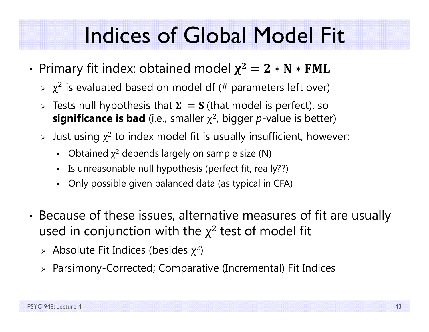- •• Primary fit index: obtained model  $\chi^2=2*N*N$ 
	- $\triangleright$   $\chi^2$  is evaluated based on model df (# parameters left over)
	- $\triangleright$  Tests null hypothesis that  $\boldsymbol{\Sigma} \, = \, \boldsymbol{\mathrm{S}}$  (that model is perfect), so **significance is bad** (i.e., smaller χ 2, bigger *p*-value is better)
	- $\triangleright$  Just using  $\chi^2$  to index model fit is usually insufficient, however:
		- $\blacksquare$ • Obtained  $\chi^2$  depends largely on sample size (N)
		- Is unreasonable null hypothesis (perfect fit, really??)
		- Only possible given balanced data (as typical in CFA)
- • Because of these issues, alternative measures of fit are usually used in conjunction with the  $\chi^2$  test of model fit
	- $\triangleright$  Absolute Fit Indices (besides  $\chi^2$ )
	- Parsimony-Corrected; Comparative (Incremental) Fit Indices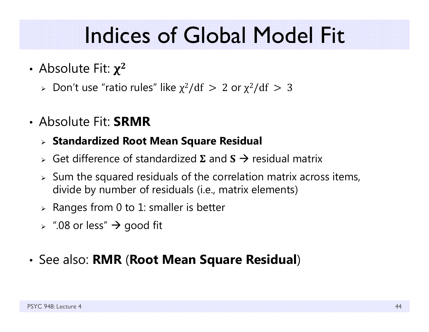- Absolute Fit:  $\chi^2$ 
	- $\triangleright$  Don't use "ratio rules" like  $\chi^2/\mathrm{df} \, > \, 2$  or  $\chi^2/\mathrm{df} \, > \, 3$
- Absolute Fit: **SRMR**

#### **Standardized Root Mean Square Residual**

- $\triangleright$  Get difference of standardized  $\Sigma$  and  $S \rightarrow$  residual matrix
- $\triangleright$  Sum the squared residuals of the correlation matrix across items, divide by number of residuals (i.e., matrix elements)
- $\triangleright$  Ranges from 0 to 1: smaller is better
- $\triangleright$   $\;\mathord{''}.08$  or less"  $\bm{\rightarrow}$  good fit

#### • See also: **RMR** (**Root Mean Square Residual** )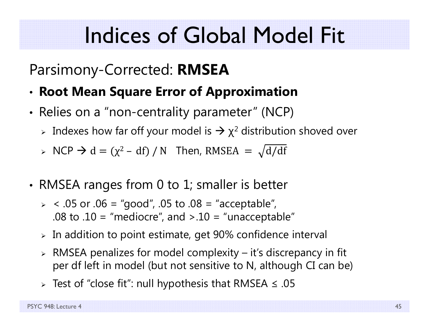#### Parsimony-Corrected: **RMSEA**

- •**Root Mean Square Error of Approximation**
- •• Relies on a "non-centrality parameter" (NCP)
	- $\triangleright$  Indexes how far off your model is  $\rightarrow$   $\chi^2$  distribution shoved over
	- $\triangleright$  NCP  $\rightarrow$  d = ( $\chi^2$  df) / N Then, RMSEA =  $\sqrt{d/df}$
- • RMSEA ranges from 0 to 1; smaller is better
	- $>$  < .05 or .06 = "good", .05 to .08 = "acceptable", .08 to .10 = "mediocre", and  $> 0.10$  = "unacceptable"
	- $\triangleright$  In addition to point estimate, get 90% confidence interval
	- $\triangleright$  RMSEA penalizes for model complexity it's discrepancy in fit per df left in model (but not sensitive to N, although CI can be)
	- $\triangleright$  Test of "close fit": null hypothesis that RMSEA  $\leq .05$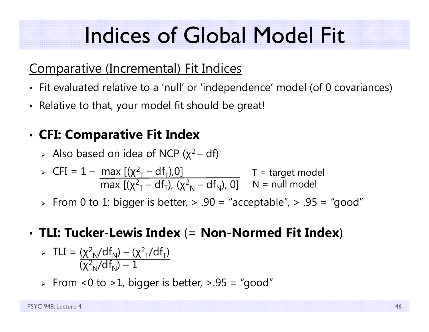#### Comparative (Incremental) Fit Indices

- Fit evaluated relative to a 'null' or 'independence' model (of 0 covariances)
- Relative to that, your model fit should be great!

#### •**CFI: Comparative Fit Index**

 $\triangleright$  Also based on idea of NCP ( $\chi^2-$  df)

$$
\triangleright \text{ CFI} = 1 - \frac{\max\left[ (\chi^2 - df_T), 0 \right]}{\max\left[ (\chi^2 - df_T), (\chi^2 - df_N), 0 \right]} \quad T = \text{target model}
$$

 $\triangleright\;$  From 0 to 1: bigger is better,  $\triangleright\;$  .90 = "acceptable",  $\triangleright\;$  .95 = "good"

#### • **TLI: Tucker-Lewis Index** (= **Non-Normed Fit Index** )

> TLI = 
$$
\frac{(\chi^2_N/df_N) - (\chi^2_T/df_T)}{(\chi^2_N/df_N) - 1}
$$

 $\triangleright$  From <0 to >1, bigger is better, >.95 = "good"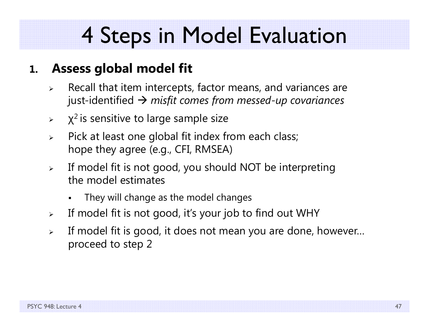#### **1.Assess global model fit**

- $\blacktriangleright$  Recall that item intercepts, factor means, and variances are just-identified *misfit comes from messed-up covariances*
- $\blacktriangleright$  $\chi^2$  is sensitive to large sample size
- $\blacktriangleright$  Pick at least one global fit index from each class; hope they agree (e.g., CFI, RMSEA)
- $\blacktriangleright$  If model fit is not good, you should NOT be interpreting the model estimates
	- F They will change as the model changes
- $\blacktriangleright$ If model fit is not good, it's your job to find out WHY
- $\blacktriangleright$  If model fit is good, it does not mean you are done, however… proceed to step 2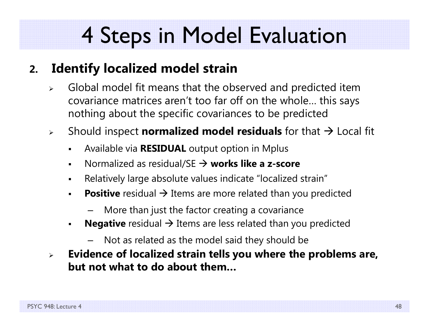#### **2.Identify localized model strain**

- $\blacktriangleright$  Global model fit means that the observed and predicted item covariance matrices aren't too far off on the whole… this says nothing about the specific covariances to be predicted
- $\blacktriangleright$  Should inspect **normalized model residuals** for that Local fit
	- $\blacksquare$ Available via **RESIDUAL** output option in Mplus
	- $\blacksquare$ ■ Normalized as residual/SE → works like a z-score
	- $\blacksquare$ Relatively large absolute values indicate "localized strain"
	- $\blacksquare$ **Positive** residual  $\rightarrow$  Items are more related than you predicted
		- More than just the factor creating a covariance
	- $\blacksquare$ **Negative** residual  $\rightarrow$  Items are less related than you predicted
		- Not as related as the model said they should be
- $\blacktriangleright$  **Evidence of localized strain tells you where the problems are, but not what to do about them…**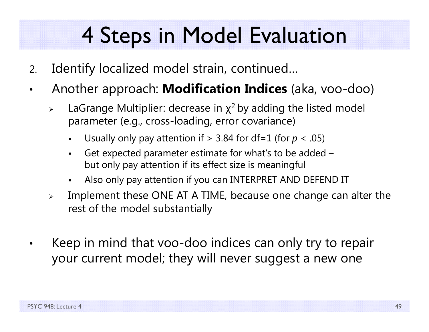- 2.Identify localized model strain, continued…
- • Another approach: **Modification Indices** (aka, voo-doo)
	- $\blacktriangleright$  $\triangleright$  LaGrange Multiplier: decrease in  $\chi^2$  by adding the listed model parameter (e.g., cross-loading, error covariance)
		- F Usually only pay attention if > 3.84 for df=1 (for *p* < .05)
		- Get expected parameter estimate for what's to be added – but only pay attention if its effect size is meaningful
		- F Also only pay attention if you can INTERPRET AND DEFEND IT
	- $\blacktriangleright$  Implement these ONE AT A TIME, because one change can alter the rest of the model substantially
- • Keep in mind that voo-doo indices can only try to repair your current model; they will never suggest a new one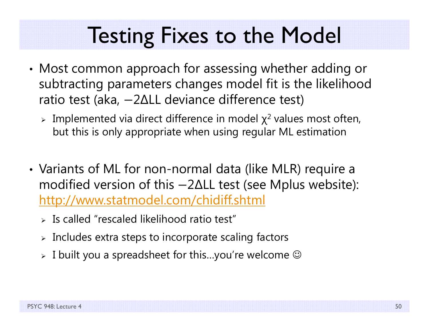### Testing Fixes to the Model

- • Most common approach for assessing whether adding or subtracting parameters changes model fit is the likelihood ratio test (aka, െ 2 ∆LL deviance difference test)
	- > Implemented via direct difference in model  $\chi^2$  values most often, but this is only appropriate when using regular ML estimation
- • Variants of ML for non-normal data (like MLR) require a modified version of this −2∆LL test (see Mplus website): http://www.statmodel.com/chidiff.shtml
	- $\triangleright$  Is called "rescaled likelihood ratio test"
	- $\triangleright$  Includes extra steps to incorporate scaling factors
	- $\triangleright\;$  I built you a spreadsheet for this…you're welcome  $\mathbb G$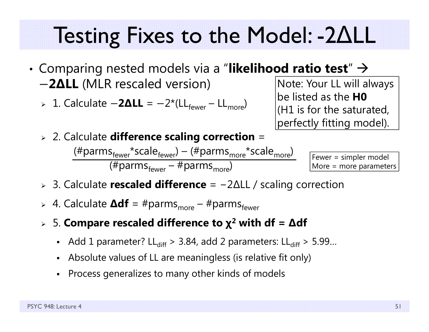### Testing Fixes to the Model: -2 ΔLL

- • $\bullet$  Comparing nested models via a "**likelihood ratio test**"  $\rightarrow$ െ **2 ∆LL** (MLR rescaled version)
	- **⊳** 1. Calculate −2ΔLL = −2\*(LL<sub>fewer</sub> LL<sub>more</sub>)

Note: Your LL will always be listed as the **H0**(H1 is for the saturated, perfectly fitting model).

2. Calculate **difference scaling correction** =

 $(\text{\#params}_{\text{fewer}}^*$ scale $_{\text{fewer}}^*$ ) – ( $\text{\#params}_{\text{more}}^*$ scale $_{\text{more}}^*$ ) (#parms<sub>fewer</sub> – #parms<sub>more</sub>)

Fewer = simpler model More = more parameters

- 3. Calculate **rescaled difference** <sup>=</sup> − 2 ∆LL / scaling correction
- > 4. Calculate **∆df** = #parms<sub>more</sub> #parms<sub>fewer</sub>
- 5. **Compare rescaled difference to χ 2 with df <sup>=</sup> ∆df**
	- Add 1 parameter? LL $_{\rm diff}$  > 3.84, add 2 parameters: LL $_{\rm diff}$  > 5.99...
	- Absolute values of LL are meaningless (is relative fit only)
	- Process generalizes to many other kinds of models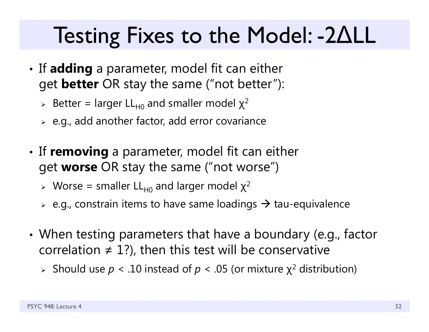### Testing Fixes to the Model: -2 ΔLL

- •• If **adding** a parameter, model fit can either get **better** OR stay the same ("not better"):
	- > Better = larger LL<sub>H0</sub> and smaller model  $\chi^2$
	- $\triangleright$  e.g., add another factor, add error covariance
- •• If **removing** a parameter, model fit can either get **worse** OR stay the same ("not worse")
	- > Worse = smaller LL<sub>H0</sub> and larger model  $\chi^2$
	- $\triangleright$  e.g., constrain items to have same loadings  $\rightarrow$  tau-equivalence
- • When testing parameters that have a boundary (e.g., factor correlation  $\neq$  1?), then this test will be conservative
	- Should use *p* < .10 instead of *p* < .05 (or mixture χ 2 distribution)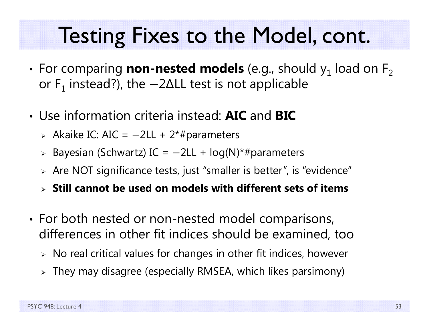### Testing Fixes to the Model, cont.

- • $\boldsymbol{\cdot}$  For comparing  $\boldsymbol{\mathsf{non-nested}}$   $\boldsymbol{\mathsf{models}}$  (e.g., should  $\boldsymbol{\mathsf{y}}_1$  load on  $\boldsymbol{\mathsf{F}}_2$ or  $\mathsf F_1$  instead?), the −2∆LL test is not applicable
- Use information criteria instead: **AIC** and **BIC**
	- > Akaike IC: AIC = -2LL + 2\*#parameters
	- Bayesian (Schwartz) IC = െ2LL + log(N)\*#parameters
	- $\triangleright$  Are NOT significance tests, just "smaller is better", is "evidence"
	- **Still cannot be used on models with different sets of items**
- •• For both nested or non-nested model comparisons, differences in other fit indices should be examined, too
	- $\triangleright\;$  No real critical values for changes in other fit indices, however
	- $\triangleright$  They may disagree (especially RMSEA, which likes parsimony)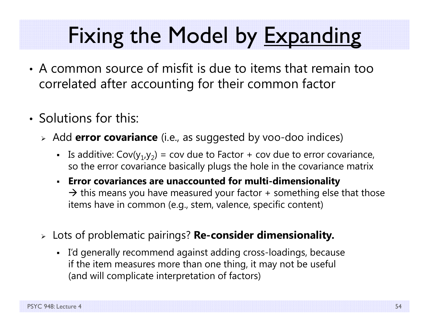# Fixing the Model by Expanding

- A common source of misfit is due to items that remain too correlated after accounting for their common factor
- Solutions for this:
	- Add **error covariance** (i.e., as suggested by voo-doo indices)
		- **I** Is additive:  $Cov(y_1, y_2) = cov$  due to Factor + cov due to error covariance, so the error covariance basically plugs the hole in the covariance matrix
		- **Error covariances are unaccounted for multi-dimensionality**  $\rightarrow$  this means you have measured your factor + something else that those items have in common (e.g., stem, valence, specific content)
	- Lots of problematic pairings? **Re-consider dimensionality.**
		- I'd generally recommend against adding cross-loadings, because if the item measures more than one thing, it may not be useful (and will complicate interpretation of factors)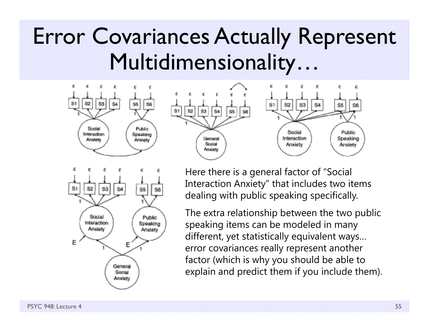#### Error Covariances Actually Represent Multidimensionality…







Here there is a general factor of "Social Interaction Anxiety" that includes two items dealing with public speaking specifically.

The extra relationship between the two public speaking items can be modeled in many different, yet statistically equivalent ways… error covariances really represent another factor (which is why you should be able to explain and predict them if you include them).

PSYC 948: Lecture 4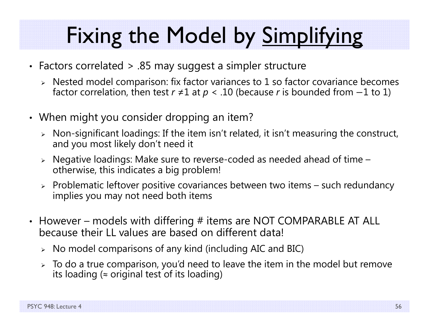# Fixing the Model by Simplifying

- Factors correlated > .85 may suggest a simpler structure
	- $\triangleright$  Nested model comparison: fix factor variances to 1 so factor covariance becomes factor correlation, then test  $r \neq 1$  at  $p < .10$  (because  $r$  is bounded from  $-1$  to  $1)$
- When might you consider dropping an item?
	- $\triangleright$   $\,$  Non-significant loadings: If the item isn't related, it isn't measuring the construct,  $\,$ and you most likely don't need it
	- $\triangleright$   $\,$  Negative loadings: Make sure to reverse-coded as needed ahead of time otherwise, this indicates a big problem!
	- $\triangleright$  Problematic leftover positive covariances between two items such redundancy implies you may not need both items
- However models with differing # items are NOT COMPARABLE AT ALL because their LL values are based on different data!
	- $\triangleright$  No model comparisons of any kind (including AIC and BIC)
	- $\triangleright\;$  To do a true comparison, you'd need to leave the item in the model but remove its loading ( ≈ original test of its loading)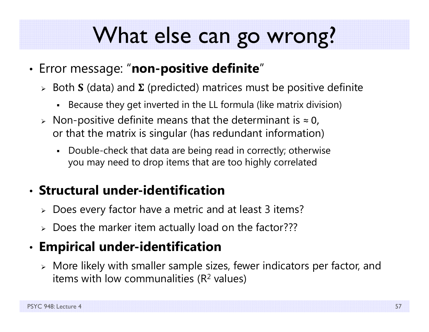### What else can go wrong?

- • Error message: "**non-positive definite** "
	- $\triangleright\;$  Both **S** (data) and **Σ** (predicted) matrices must be positive definite
		- $\blacksquare$ Because they get inverted in the LL formula (like matrix division)
	- $\triangleright$  Non-positive definite means that the determinant is  $\approx$  0, or that the matrix is singular (has redundant information)
		- Double-check that data are being read in correctly; otherwise you may need to drop items that are too highly correlated

#### • **Structural under-identification**

- $\triangleright$  Does every factor have a metric and at least 3 items?
- Does the marker item actually load on the factor???

#### •**Empirical under-identification**

 $\triangleright$  More likely with smaller sample sizes, fewer indicators per factor, and items with low communalities (R<sup>2</sup> values)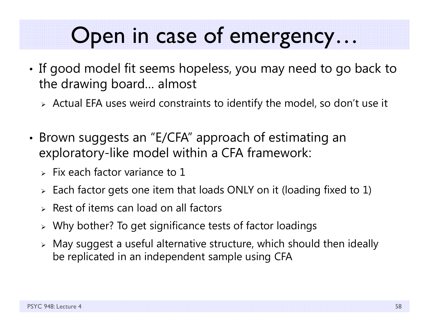### Open in case of emergency…

- •• If good model fit seems hopeless, you may need to go back to the drawing board… almost
	- $\triangleright$  Actual EFA uses weird constraints to identify the model, so don't use it
- • Brown suggests an "E/CFA" approach of estimating an exploratory-like model within a CFA framework:
	- $>$  Fix each factor variance to 1
	- $\triangleright$  Each factor gets one item that loads ONLY on it (loading fixed to 1)
	- $\triangleright$  Rest of items can load on all factors
	- $\triangleright\;$  Why bother? To get significance tests of factor loadings
	- $\triangleright$  May suggest a useful alternative structure, which should then ideally be replicated in an independent sample using CFA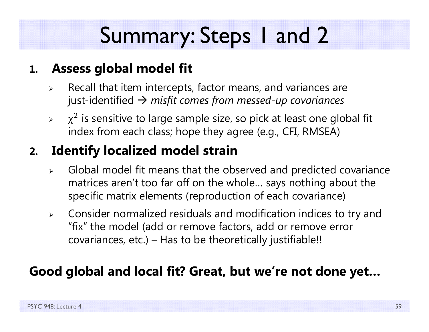# Summary: Steps 1 and 2

#### **1. Assess global model fit**

- ➤ Recall that item intercepts, factor means, and variances are just-identified *misfit comes from messed-up covariances*
- $\blacktriangleright$  $\chi^2$  is sensitive to large sample size, so pick at least one global fit index from each class; hope they agree (e.g., CFI, RMSEA)

#### **2.Identify localized model strain**

- $\blacktriangleright$  Global model fit means that the observed and predicted covariance matrices aren't too far off on the whole… says nothing about the specific matrix elements (reproduction of each covariance)
- $\blacktriangleright$  Consider normalized residuals and modification indices to try and "fix" the model (add or remove factors, add or remove error covariances, etc.) – Has to be theoretically justifiable!!

#### **Good global and local fit? Great, but we're not done yet…**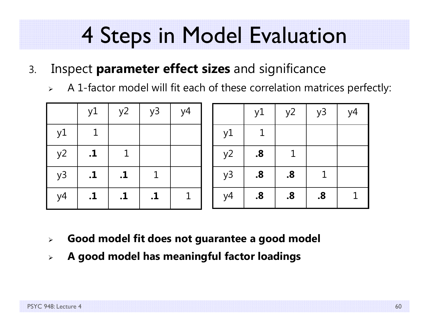- 3. Inspect **parameter effect sizes** and significance
	- $\blacktriangleright$ A 1-factor model will fit each of these correlation matrices perfectly:

|    | y1               | $\vert$ y <sup>2</sup> | y3        | $\vert y4 \vert$ |    | y1                | $y^2$             | y3 | y4 |
|----|------------------|------------------------|-----------|------------------|----|-------------------|-------------------|----|----|
| y1 |                  |                        |           |                  | y1 |                   |                   |    |    |
| y2 | $\cdot$ <b>1</b> |                        |           |                  | y2 | $\boldsymbol{.8}$ | $\mathbf{1}$      |    |    |
| y3 | $\cdot$ 1        | $\cdot$ 1              |           |                  | y3 | $\boldsymbol{8}$  | $\boldsymbol{.8}$ |    |    |
| y4 | $\cdot$ <b>1</b> | $\cdot$ 1              | $\cdot$ 1 |                  | y4 | $\boldsymbol{.8}$ | $\boldsymbol{.8}$ | 8. |    |

- $\blacktriangleright$ **Good model fit does not guarantee a good model**
- $\blacktriangleright$ **A good model has meaningful factor loadings**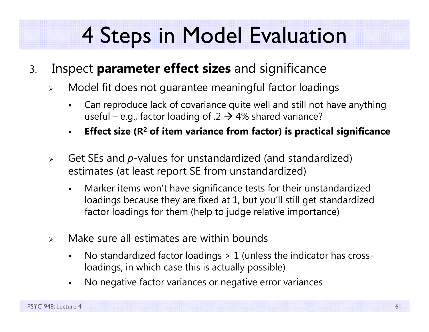- 3. Inspect **parameter effect sizes** and significance
	- $\blacktriangleright$  Model fit does not guarantee meaningful factor loadings
		- F Can reproduce lack of covariance quite well and still not have anything useful – e.g., factor loading of .2  $\rightarrow$  4% shared variance?
		- $\blacksquare$ **Effect size (R 2 of item variance from factor) is practical significance**
	- $\blacktriangleright$  Get SEs and *p*-values for unstandardized (and standardized) estimates (at least report SE from unstandardized)
		- $\blacksquare$  Marker items won't have significance tests for their unstandardized loadings because they are fixed at 1, but you'll still get standardized factor loadings for them (help to judge relative importance)
	- $\blacktriangleright$  Make sure all estimates are within bounds
		- $\blacksquare$  No standardized factor loadings > 1 (unless the indicator has crossloadings, in which case this is actually possible)
		- $\blacksquare$ No negative factor variances or negative error variances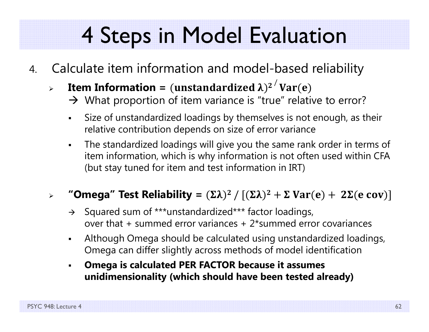- 4. Calculate item information and model-based reliability
	- $\blacktriangleright$  $\triangleright$  **Item Information =** (unstandardized  $\lambda$ )<sup>2</sup>  $\langle$  Var(e)
		- $\rightarrow$  What proportion of item variance is "true" relative to error?
		- $\blacksquare$  Size of unstandardized loadings by themselves is not enough, as their relative contribution depends on size of error variance
		- $\blacksquare$  The standardized loadings will give you the same rank order in terms of item information, which is why information is not often used within CFA (but stay tuned for item and test information in IRT)

#### $\blacktriangleright$  $\triangleright$  "Omega" Test Reliability =  $(\Sigma \lambda)^2$  /  $[(\Sigma \lambda)^2 + \Sigma \, \text{Var}(\mathbf{e}) + \, \, 2 \Sigma(\mathbf{e} \, \text{cov})]$

- $\rightarrow$  Squared sum of \*\*\*unstandardized\*\*\* factor loadings, over that + summed error variances + 2\*summed error covariances
- $\blacksquare$  Although Omega should be calculated using unstandardized loadings, Omega can differ slightly across methods of model identification
- $\blacksquare$  **Omega is calculated PER FACTOR because it assumes unidimensionality (which should have been tested already)**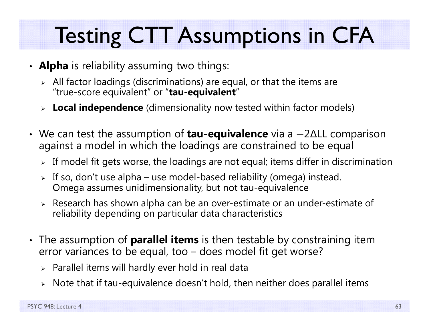# Testing CTT Assumptions in CFA

- **Alpha** is reliability assuming two things:
	- $\triangleright$  All factor loadings (discriminations) are equal, or that the items are "true-score equivalent" or "**tau-equivalent** "
	- **Local independence** (dimensionality now tested within factor models)
- We can test the assumption of **tau-equivalence** via a  $-2\Delta$ LL comparison against a model in which the loadings are constrained to be equal
	- $\triangleright$  If model fit gets worse, the loadings are not equal; items differ in discrimination
	- $\triangleright$  If so, don't use alpha use model-based reliability (omega) instead. Omega assumes unidimensionality, but not tau-equivalence
	- $\triangleright$  Research has shown alpha can be an over-estimate or an under-estimate of reliability depending on particular data characteristics
- The assumption of **parallel items** is then testable by constraining item error variances to be equal, too – does model fit get worse?
	- $\triangleright$  Parallel items will hardly ever hold in real data
	- $\triangleright$   $\,$  Note that if tau-equivalence doesn't hold, then neither does parallel items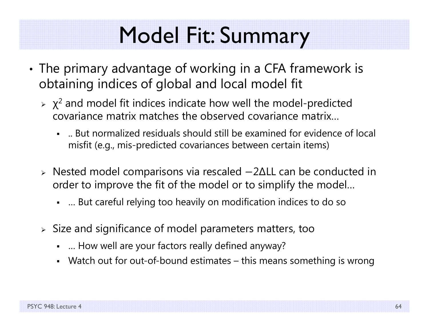## Model Fit: Summary

- • The primary advantage of working in a CFA framework is obtaining indices of global and local model fit
	- $\triangleright$   $\chi^2$  and model fit indices indicate how well the model-predicted covariance matrix matches the observed covariance matrix…
		- .. But normalized residuals should still be examined for evidence of local misfit (e.g., mis-predicted covariances between certain items)
	- $\triangleright$  Nested model comparisons via rescaled  $-2\Delta$ LL can be conducted in order to improve the fit of the model or to simplify the model…
		- … But careful relying too heavily on modification indices to do so
	- $\triangleright$  Size and significance of model parameters matters, too
		- … How well are your factors really defined anyway?
		- Watch out for out-of-bound estimates this means something is wrong